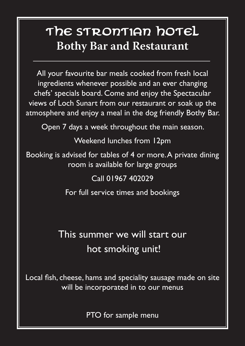# The STRONTIAN hOTEL **Bothy Bar and Restaurant**

All your favourite bar meals cooked from fresh local ingredients whenever possible and an ever changing chefs' specials board. Come and enjoy the Spectacular views of Loch Sunart from our restaurant or soak up the atmosphere and enjoy a meal in the dog friendly Bothy Bar.

Open 7 days a week throughout the main season.

Weekend lunches from 12pm

Booking is advised for tables of 4 or more. A private dining room is available for large groups

#### Call 01967 402029

For full service times and bookings

# This summer we will start our hot smoking unit!

Local fish, cheese, hams and speciality sausage made on site will be incorporated in to our menus

PTO for sample menu